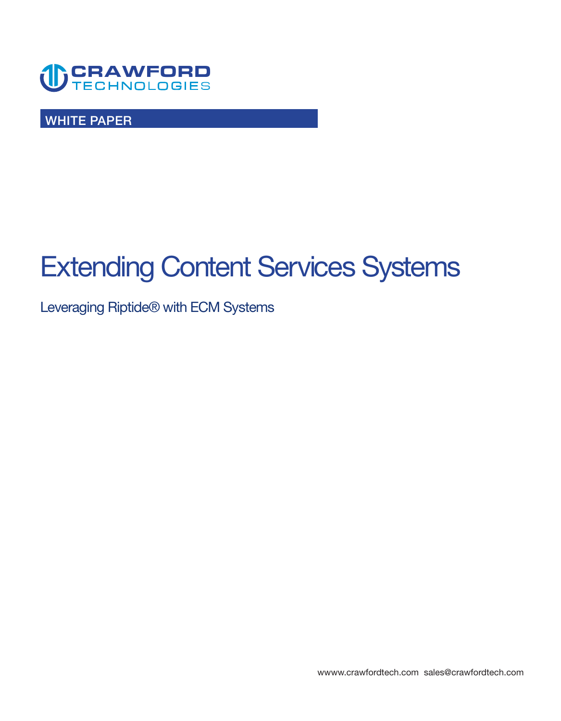

**WHITE PAPER** 

# **Extending Content Services Systems**

# **Leveraging Riptide® with ECM Systems**

**<wwww.crawfordtech.com>[sales@crawfordtech.com](mailto:sales@crawfordtech.com)**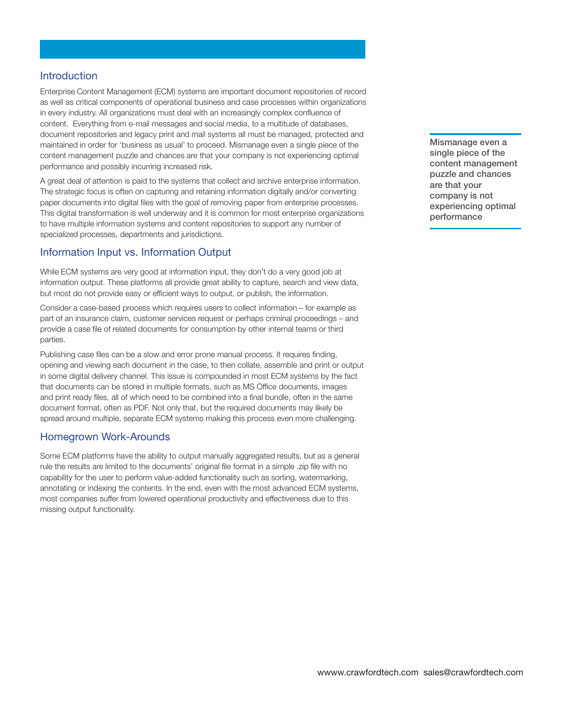#### **Introduction**

**Enterprise Content Management (ECM) systems are important document repositories of record as well as critical components of operational business and case processes within organizations in every industry. All organizations must deal with an increasingly complex confluence of content. Everything from e-mail messages and social media, to a multitude of databases, document repositories and legacy print and mail systems all must be managed, protected and maintained in order for 'business as usual' to proceed. Mismanage even a single piece of the content management puzzle and chances are that your company is not experiencing optimal performance and possibly incurring increased risk.** 

**A great deal of attention is paid to the systems that collect and archive enterprise information. The strategic focus is often on capturing and retaining information digitally and/or converting paper documents into digital files with the goal of removing paper from enterprise processes. This digital transformation is well underway and it is common for most enterprise organizations to have multiple information systems and content repositories to support any number of specialized processes, departments and jurisdictions.** 

#### **Information Input vs. Information Output**

**While ECM systems are very good at information input, they don't do a very good job at information output. These platforms all provide great ability to capture, search and view data, but most do not provide easy or efficient ways to output, or publish, the information.** 

**Consider a case-based process which requires users to collect information – for example as part of an insurance claim, customer services request or perhaps criminal proceedings – and provide a case file of related documents for consumption by other internal teams or third parties.** 

**Publishing case files can be a slow and error prone manual process. It requires finding, opening and viewing each document in the case, to then collate, assemble and print or output in some digital delivery channel. This issue is compounded in most ECM systems by the fact that documents can be stored in multiple formats, such as MS Office documents, images and print ready files, all of which need to be combined into a final bundle, often in the same document format, often as PDF. Not only that, but the required documents may likely be spread around multiple, separate ECM systems making this process even more challenging.** 

#### **Homegrown Work-Arounds**

**Some ECM platforms have the ability to output manually aggregated results, but as a general rule the results are limited to the documents' original file format in a simple .zip file with no capability for the user to perform value-added functionality such as sorting, watermarking, annotating or indexing the contents. In the end, even with the most advanced ECM systems, most companies suffer from lowered operational productivity and effectiveness due to this missing output functionality.** 

**Mismanage even a single piece of the content management puzzle and chances are that your company is not experiencing optimal performance**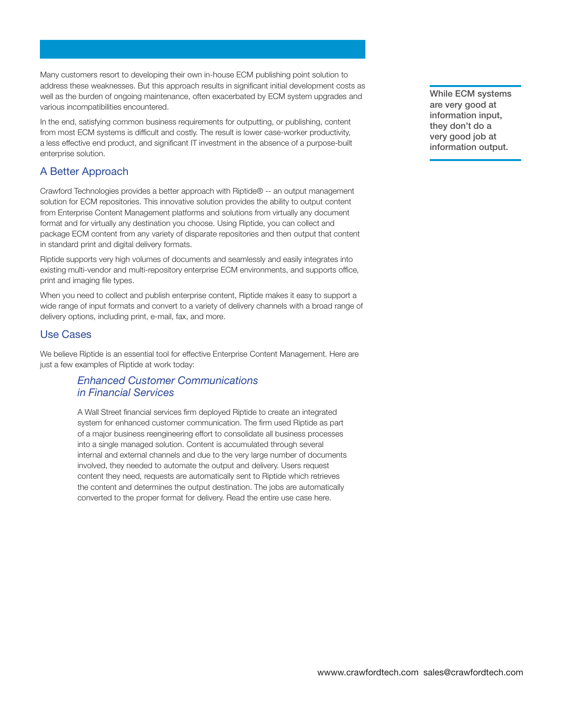**Many customers resort to developing their own in-house ECM publishing point solution to address these weaknesses. But this approach results in significant initial development costs as well as the burden of ongoing maintenance, often exacerbated by ECM system upgrades and various incompatibilities encountered.** 

**In the end, satisfying common business requirements for outputting, or publishing, content from most ECM systems is difficult and costly. The result is lower case-worker productivity, a less effective end product, and significant IT investment in the absence of a purpose-built enterprise solution.** 

# **A Better Approach**

**Crawford Technologies provides a better approach with Riptide® -- an output management solution for ECM repositories. This innovative solution provides the ability to output content from Enterprise Content Management platforms and solutions from virtually any document format and for virtually any destination you choose. Using Riptide, you can collect and package ECM content from any variety of disparate repositories and then output that content in standard print and digital delivery formats.** 

**Riptide supports very high volumes of documents and seamlessly and easily integrates into existing multi-vendor and multi-repository enterprise ECM environments, and supports office, print and imaging file types.** 

**When you need to collect and publish enterprise content, Riptide makes it easy to support a wide range of input formats and convert to a variety of delivery channels with a broad range of delivery options, including print, e-mail, fax, and more.** 

### **Use Cases**

**We believe Riptide is an essential tool for effective Enterprise Content Management. Here are just a few examples of Riptide at work today:** 

### *Enhanced Customer Communications in Financial Services*

**A Wall Street financial services firm deployed Riptide to create an integrated system for enhanced customer communication. The firm used Riptide as part of a major business reengineering effort to consolidate all business processes into a single managed solution. Content is accumulated through several internal and external channels and due to the very large number of documents involved, they needed to automate the output and delivery. Users request content they need, requests are automatically sent to Riptide which retrieves the content and determines the output destination. The jobs are automatically converted to the proper format for delivery. Read the entire use case here.** 

**While ECM systems are very good at information input, they don't do a very good job at information output.**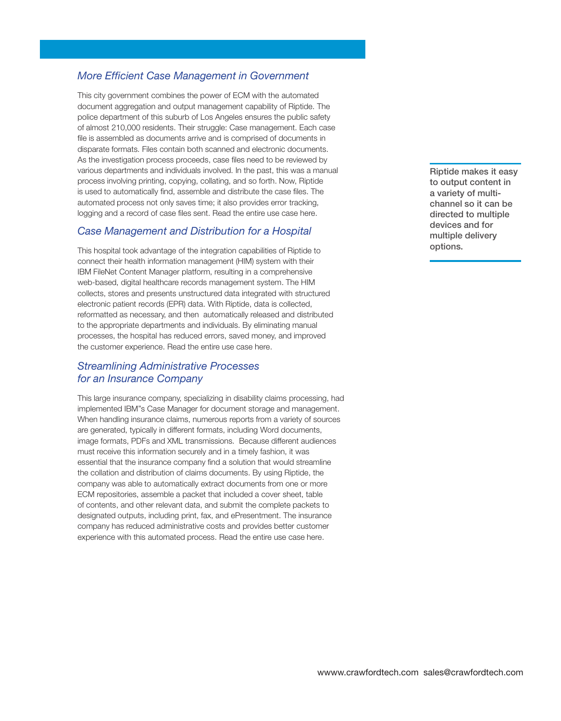#### *More Efficient Case Management in Government*

**This city government combines the power of ECM with the automated document aggregation and output management capability of Riptide. The police department of this suburb of Los Angeles ensures the public safety of almost 210,000 residents. Their struggle: Case management. Each case file is assembled as documents arrive and is comprised of documents in disparate formats. Files contain both scanned and electronic documents. As the investigation process proceeds, case files need to be reviewed by various departments and individuals involved. In the past, this was a manual process involving printing, copying, collating, and so forth. Now, Riptide is used to automatically find, assemble and distribute the case files. The automated process not only saves time; it also provides error tracking, logging and a record of case files sent. Read the entire use case here.** 

#### *Case Management and Distribution for a Hospital*

**This hospital took advantage of the integration capabilities of Riptide to connect their health information management (HIM) system with their IBM FileNet Content Manager platform, resulting in a comprehensive web-based, digital healthcare records management system. The HIM collects, stores and presents unstructured data integrated with structured electronic patient records (EPR) data. With Riptide, data is collected, reformatted as necessary, and then automatically released and distributed to the appropriate departments and individuals. By eliminating manual processes, the hospital has reduced errors, saved money, and improved the customer experience. Read the entire use case here.** 

#### *Streamlining Administrative Processes for an Insurance Company*

**This large insurance company, specializing in disability claims processing, had implemented IBM"s Case Manager for document storage and management. When handling insurance claims, numerous reports from a variety of sources are generated, typically in different formats, including Word documents, image formats, PDFs and XML transmissions. Because different audiences must receive this information securely and in a timely fashion, it was essential that the insurance company find a solution that would streamline the collation and distribution of claims documents. By using Riptide, the company was able to automatically extract documents from one or more ECM repositories, assemble a packet that included a cover sheet, table of contents, and other relevant data, and submit the complete packets to designated outputs, including print, fax, and ePresentment. The insurance company has reduced administrative costs and provides better customer experience with this automated process. Read the entire use case here.** 

**Riptide makes it easy to output content in a variety of multichannel so it can be directed to multiple devices and for multiple delivery options.**